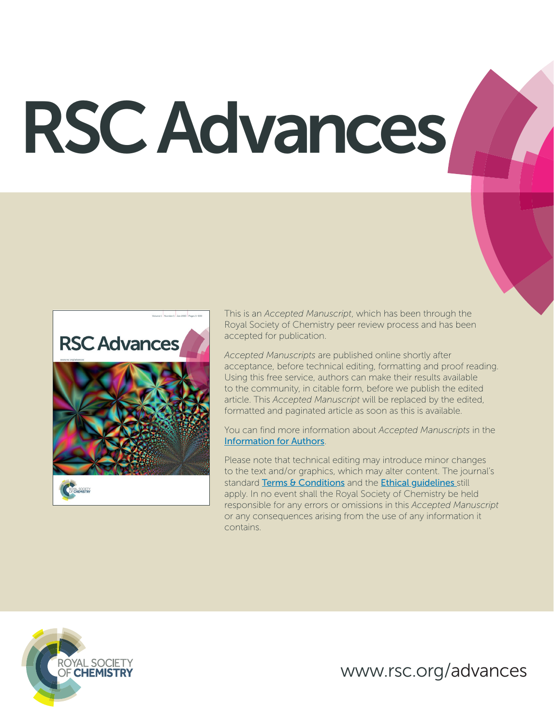# RSC Advances



This is an *Accepted Manuscript*, which has been through the Royal Society of Chemistry peer review process and has been accepted for publication.

*Accepted Manuscripts* are published online shortly after acceptance, before technical editing, formatting and proof reading. Using this free service, authors can make their results available to the community, in citable form, before we publish the edited article. This *Accepted Manuscript* will be replaced by the edited, formatted and paginated article as soon as this is available.

You can find more information about *Accepted Manuscripts* in the Information for Authors.

Please note that technical editing may introduce minor changes to the text and/or graphics, which may alter content. The journal's standard Terms & Conditions and the Ethical quidelines still apply. In no event shall the Royal Society of Chemistry be held responsible for any errors or omissions in this *Accepted Manuscript* or any consequences arising from the use of any information it contains.



www.rsc.org/advances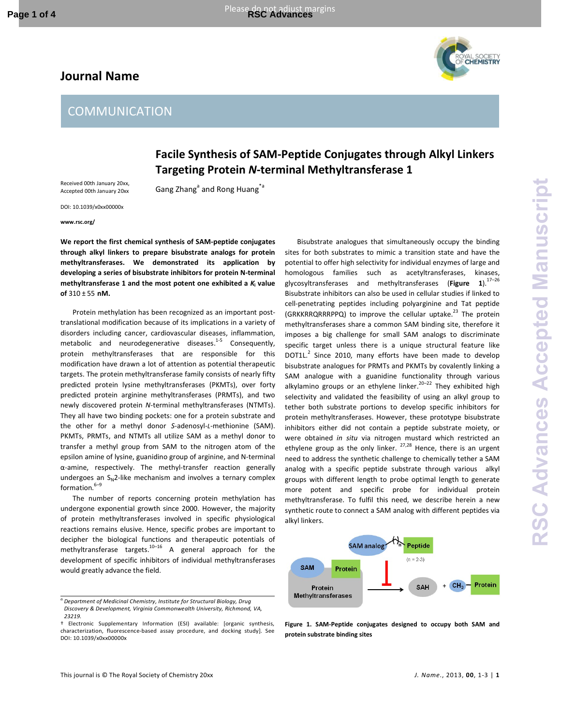# **Journal Name**





# **Facile Synthesis of SAM-Peptide Conjugates through Alkyl Linkers Targeting Protein** *N***-terminal Methyltransferase 1**

Received 00th January 20xx, Accepted 00th January 20xx

Gang Zhang<sup>a</sup> and Rong Huang<sup>\*a</sup>

DOI: 10.1039/x0xx00000x

**www.rsc.org/** 

**We report the first chemical synthesis of SAM-peptide conjugates through alkyl linkers to prepare bisubstrate analogs for protein methyltransferases. We demonstrated its application by developing a series of bisubstrate inhibitors for protein N-terminal methyltransferase 1 and the most potent one exhibited a** *K***<sup>i</sup> value of** 310 ± 55 **nM.** 

Protein methylation has been recognized as an important posttranslational modification because of its implications in a variety of disorders including cancer, cardiovascular diseases, inflammation, metabolic and neurodegenerative diseases.<sup>1-5</sup> Consequently, protein methyltransferases that are responsible for this modification have drawn a lot of attention as potential therapeutic targets. The protein methyltransferase family consists of nearly fifty predicted protein lysine methyltransferases (PKMTs), over forty predicted protein arginine methyltransferases (PRMTs), and two newly discovered protein *N*-terminal methyltransferases (NTMTs). They all have two binding pockets: one for a protein substrate and the other for a methyl donor *S*-adenosyl-*L*-methionine (SAM). PKMTs, PRMTs, and NTMTs all utilize SAM as a methyl donor to transfer a methyl group from SAM to the nitrogen atom of the epsilon amine of lysine, guanidino group of arginine, and N-terminal α-amine, respectively. The methyl-transfer reaction generally undergoes an  $S_N$ 2-like mechanism and involves a ternary complex formation. $6-9$ 

The number of reports concerning protein methylation has undergone exponential growth since 2000. However, the majority of protein methyltransferases involved in specific physiological reactions remains elusive. Hence, specific probes are important to decipher the biological functions and therapeutic potentials of methyltransferase targets. $10-16$  A general approach for the development of specific inhibitors of individual methyltransferases would greatly advance the field.

Bisubstrate analogues that simultaneously occupy the binding sites for both substrates to mimic a transition state and have the potential to offer high selectivity for individual enzymes of large and homologous families such as acetyltransferases, kinases, glycosyltransferases and methyltransferases (**Figure 1**).17–26 Bisubstrate inhibitors can also be used in cellular studies if linked to cell-penetrating peptides including polyarginine and Tat peptide (GRKKRRQRRRPPQ) to improve the cellular uptake.<sup>23</sup> The protein methyltransferases share a common SAM binding site, therefore it imposes a big challenge for small SAM analogs to discriminate specific target unless there is a unique structural feature like DOT1L. $^2$  Since 2010, many efforts have been made to develop bisubstrate analogues for PRMTs and PKMTs by covalently linking a SAM analogue with a guanidine functionality through various alkylamino groups or an ethylene linker.<sup>20-22</sup> They exhibited high selectivity and validated the feasibility of using an alkyl group to tether both substrate portions to develop specific inhibitors for protein methyltransferases. However, these prototype bisubstrate inhibitors either did not contain a peptide substrate moiety, or were obtained *in situ* via nitrogen mustard which restricted an ethylene group as the only linker.  $27,28$  Hence, there is an urgent need to address the synthetic challenge to chemically tether a SAM analog with a specific peptide substrate through various alkyl groups with different length to probe optimal length to generate more potent and specific probe for individual protein methyltransferase. To fulfil this need, we describe herein a new synthetic route to connect a SAM analog with different peptides via alkyl linkers.



**Figure 1. SAM-Peptide conjugates designed to occupy both SAM and protein substrate binding sites** 

*a.Department of Medicinal Chemistry, Institute for Structural Biology, Drug Discovery & Development, Virginia Commonwealth University, Richmond, VA, 23219.* 

<sup>†</sup> Electronic Supplementary Information (ESI) available: [organic synthesis, characterization, fluorescence-based assay procedure, and docking study]. See DOI: 10.1039/x0xx00000x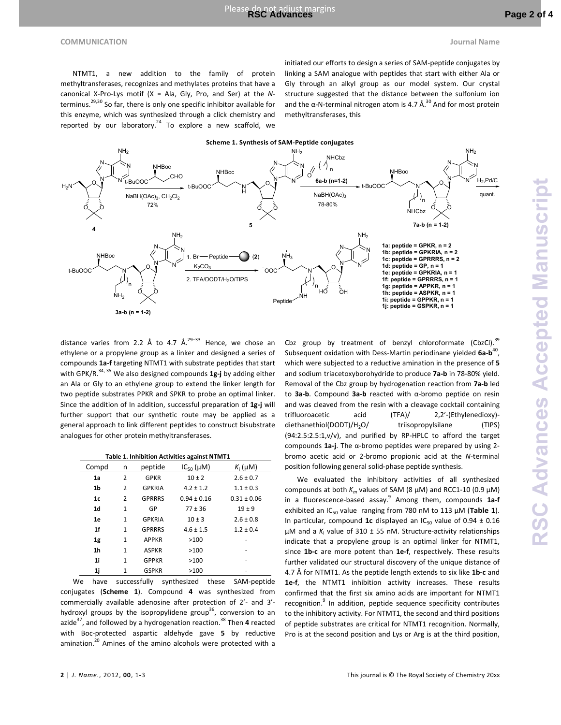NTMT1, a new addition to the family of protein methyltransferases, recognizes and methylates proteins that have a canonical X-Pro-Lys motif (X = Ala, Gly, Pro, and Ser) at the *N*terminus.<sup>29,30</sup> So far, there is only one specific inhibitor available for this enzyme, which was synthesized through a click chemistry and reported by our laboratory.<sup>24</sup> To explore a new scaffold, we

initiated our efforts to design a series of SAM-peptide conjugates by linking a SAM analogue with peptides that start with either Ala or Gly through an alkyl group as our model system. Our crystal structure suggested that the distance between the sulfonium ion and the  $\alpha$ -N-terminal nitrogen atom is 4.7 Å.<sup>30</sup> And for most protein methyltransferases, this



distance varies from 2.2 Å to 4.7  $Å^{29-33}$  Hence, we chose an ethylene or a propylene group as a linker and designed a series of compounds **1a-f** targeting NTMT1 with substrate peptides that start with GPK/R.<sup>34, 35</sup> We also designed compounds 1g-j by adding either an Ala or Gly to an ethylene group to extend the linker length for two peptide substrates PPKR and SPKR to probe an optimal linker. Since the addition of In addition, successful preparation of **1g-j** will further support that our synthetic route may be applied as a general approach to link different peptides to construct bisubstrate analogues for other protein methyltransferases.

| Table 1. Inhibition Activities against NTMT1 |  |  |
|----------------------------------------------|--|--|
|----------------------------------------------|--|--|

| Compd          | n            | peptide       | $IC_{50}(\mu M)$ | $K_i(\mu M)$    |
|----------------|--------------|---------------|------------------|-----------------|
| 1a             | 2            | <b>GPKR</b>   | $10 + 2$         | $2.6 \pm 0.7$   |
| 1 <sub>b</sub> | 2            | <b>GPKRIA</b> | $4.2 \pm 1.2$    | $1.1 \pm 0.3$   |
| 1 <sub>c</sub> | 2            | <b>GPRRRS</b> | $0.94 \pm 0.16$  | $0.31 \pm 0.06$ |
| 1 <sub>d</sub> | 1            | GP            | $77 + 36$        | $19 + 9$        |
| 1e             | 1            | <b>GPKRIA</b> | $10 \pm 3$       | $2.6 \pm 0.8$   |
| 1 <sub>f</sub> | 1            | <b>GPRRRS</b> | $4.6 \pm 1.5$    | $1.2 \pm 0.4$   |
| 1g             | 1            | <b>APPKR</b>  | >100             |                 |
| 1 <sub>h</sub> | $\mathbf{1}$ | <b>ASPKR</b>  | >100             | ۰               |
| 1i             | 1            | <b>GPPKR</b>  | >100             |                 |
| 1j             | 1            | <b>GSPKR</b>  | >100             |                 |

We have successfully synthesized these SAM-peptide conjugates (**Scheme 1**). Compound **4** was synthesized from commercially available adenosine after protection of 2'- and 3' hydroxyl groups by the isopropylidene group<sup>36</sup>, conversion to an azide<sup>37</sup>, and followed by a hydrogenation reaction.<sup>38</sup> Then 4 reacted with Boc-protected aspartic aldehyde gave **5** by reductive amination.<sup>20</sup> Amines of the amino alcohols were protected with a

Cbz group by treatment of benzyl chloroformate  $(Cbz)$ .<sup>39</sup> Subsequent oxidation with Dess-Martin periodinane yielded 6a-b<sup>40</sup>, which were subjected to a reductive amination in the presence of **5** and sodium triacetoxyborohydride to produce **7a-b** in 78-80% yield. Removal of the Cbz group by hydrogenation reaction from **7a-b** led to **3a-b**. Compound **3a-b** reacted with α-bromo peptide on resin and was cleaved from the resin with a cleavage cocktail containing trifluoroacetic acid (TFA)/ 2,2'-(Ethylenedioxy) diethanethiol(DODT)/H<sub>2</sub>O/ triisopropylsilane (TIPS) (94:2.5:2.5:1,v/v), and purified by RP-HPLC to afford the target compounds **1a-j**. The α-bromo peptides were prepared by using 2 bromo acetic acid or 2-bromo propionic acid at the *N*-terminal position following general solid-phase peptide synthesis.

 We evaluated the inhibitory activities of all synthesized compounds at both  $K_m$  values of SAM (8  $\mu$ M) and RCC1-10 (0.9  $\mu$ M) in a fluorescence-based assay.<sup>9</sup> Among them, compounds 1a-f exhibited an IC<sub>50</sub> value ranging from 780 nM to 113  $\mu$ M (**Table 1**). In particular, compound 1c displayed an  $IC_{50}$  value of 0.94  $\pm$  0.16 µM and a K<sub>i</sub> value of 310 ± 55 nM. Structure-activity relationships indicate that a propylene group is an optimal linker for NTMT1, since **1b-c** are more potent than **1e-f**, respectively. These results further validated our structural discovery of the unique distance of 4.7 Å for NTMT1. As the peptide length extends to six like **1b-c** and **1e-f**, the NTMT1 inhibition activity increases. These results confirmed that the first six amino acids are important for NTMT1 recognition.<sup>9</sup> In addition, peptide sequence specificity contributes to the inhibitory activity. For NTMT1, the second and third positions of peptide substrates are critical for NTMT1 recognition. Normally, Pro is at the second position and Lys or Arg is at the third position,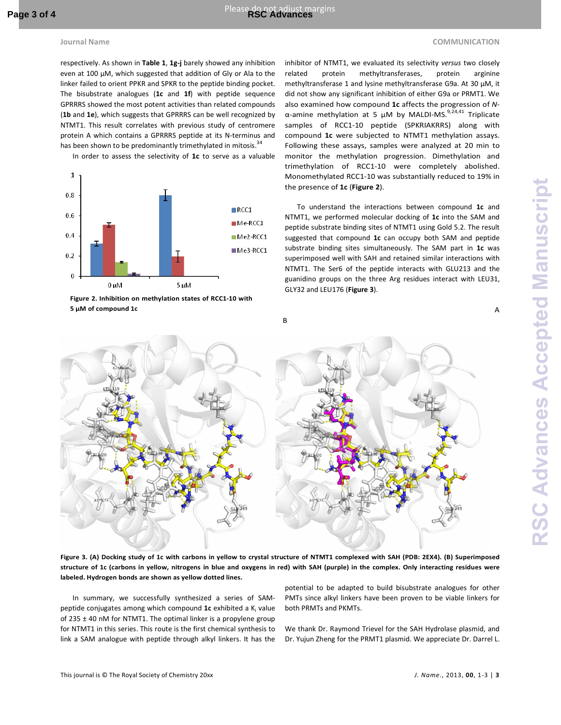## **Journal Name** COMMUNICATION **COMMUNICATION**

respectively. As shown in **Table 1**, **1g-j** barely showed any inhibition even at 100 µM, which suggested that addition of Gly or Ala to the linker failed to orient PPKR and SPKR to the peptide binding pocket. The bisubstrate analogues (**1c** and **1f**) with peptide sequence GPRRRS showed the most potent activities than related compounds (**1b** and **1e**), which suggests that GPRRRS can be well recognized by NTMT1. This result correlates with previous study of centromere protein A which contains a GPRRRS peptide at its N-terminus and has been shown to be predominantly trimethylated in mitosis. $34$ 

In order to assess the selectivity of **1c** to serve as a valuable



**Figure 2. Inhibition on methylation states of RCC1-10 with 5 µM of compound 1c**

inhibitor of NTMT1, we evaluated its selectivity *versus* two closely related protein methyltransferases, protein arginine methyltransferase 1 and lysine methyltransferase G9a. At 30 µM, it did not show any significant inhibition of either G9a or PRMT1. We also examined how compound **1c** affects the progression of *N*α-amine methylation at 5 μM by MALDI-MS.<sup>9,24,41</sup> Triplicate samples of RCC1-10 peptide (SPKRIAKRRS) along with compound **1c** were subjected to NTMT1 methylation assays. Following these assays, samples were analyzed at 20 min to monitor the methylation progression. Dimethylation and trimethylation of RCC1-10 were completely abolished. Monomethylated RCC1-10 was substantially reduced to 19% in the presence of **1c** (**Figure 2**).

To understand the interactions between compound **1c** and NTMT1, we performed molecular docking of **1c** into the SAM and peptide substrate binding sites of NTMT1 using Gold 5.2. The result suggested that compound **1c** can occupy both SAM and peptide substrate binding sites simultaneously. The SAM part in **1c** was superimposed well with SAH and retained similar interactions with NTMT1. The Ser6 of the peptide interacts with GLU213 and the guanidino groups on the three Arg residues interact with LEU31, GLY32 and LEU176 (**Figure 3**).



**Figure 3. (A) Docking study of 1c with carbons in yellow to crystal structure of NTMT1 complexed with SAH (PDB: 2EX4). (B) Superimposed structure of 1c (carbons in yellow, nitrogens in blue and oxygens in red) with SAH (purple) in the complex. Only interacting residues were labeled. Hydrogen bonds are shown as yellow dotted lines.**

In summary, we successfully synthesized a series of SAMpeptide conjugates among which compound 1c exhibited a K<sub>i</sub> value of 235  $\pm$  40 nM for NTMT1. The optimal linker is a propylene group for NTMT1 in this series. This route is the first chemical synthesis to link a SAM analogue with peptide through alkyl linkers. It has the

potential to be adapted to build bisubstrate analogues for other PMTs since alkyl linkers have been proven to be viable linkers for both PRMTs and PKMTs.

We thank Dr. Raymond Trievel for the SAH Hydrolase plasmid, and Dr. Yujun Zheng for the PRMT1 plasmid. We appreciate Dr. Darrel L.

A